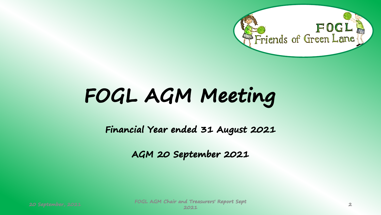

## **FOGL AGM Meeting**

**Financial Year ended 31 August 2021**

**AGM 20 September 2021**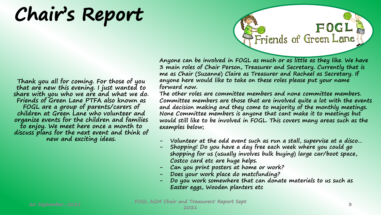**Chair's Report**

**Thank you all for coming. For those of you that are new this evening. I just wanted to share with you who we are and what we do. Friends of Green Lane PTFA also known as FOGL are a group of parents/carers of children at Green Lane who volunteer and organize events for the children and families to enjoy. We meet here once a month to discuss plans for the next event and think of new and exciting ideas.** 

**Anyone can be involved in FOGL as much or as little as they like. We have 3 main roles of Chair Person, Treasurer and Secretary. Currently that is me as Chair (Suzanne) Claire as Treasurer and Rachael as Secretary. If anyone here would like to take on these roles please put your name forward now.** 

FOGL<sup>3</sup><br>Friends of Green Lane

**The other roles are committee members and none committee members. Committee members are those that are involved quite a lot with the events and decision making and they come to majority of the monthly meetings. None Committee members is anyone that cant make it to meetings but would still like to be involved in FOGL. This covers many areas such as the examples below;**

- **- Volunteer at the odd event such as run a stall, supervise at a disco…**
- **- Shopping! Do you have a day free each week where you could go shopping for us (usually involves bulk buying) large car/boot space, Costco card etc are huge helps.**
- **- Can you print posters at home or work?**
- **- Does your work place do matcfunding?**
- **- Do you work somewhere that can donate materials to us such as Easter eggs, Wooden planters etc**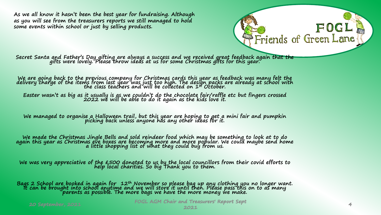**As we all know it hasn't been the best year for fundraising. Although as you will see from the treasurers reports we still managed to hold some events within school or just by selling products.**

**Secret Santa and Father's Day gifting are always a success and we received great feedback again that the gifts were lovely. Please throw ideas at us for some Christmas gifts for this year.**

We are going back to the previous company for Christmas cards this year as feedback was many felt the<br>delivery charge of the items from last year was just too high. The design packs are already at school with<br>the class tea

**Easter wasn't as big as it usually is as we couldn't do the chocolate fair/raffle etc but fingers crossed 2022 we will be able to do it again as the kids love it.**

**We managed to organise a Halloween trail, but this year are hoping to get a mini fair and pumpkin picking back unless anyone has any other ideas for it.**

We made the Christmas Jingle Bells and sold reindeer food which may be something to look at to do<br>again this year as Christmas eve boxes are becoming more and more popular. We could maybe send home<br>a little shopping list o

**We was very appreciative of the £500 donated to us by the local councillors from their covid efforts to help local charities. So big Thank you to them.**

Bags 2 School are booked in again for 12<sup>th</sup> November so please bag up any clothing you no longer want.<br>It can be brought into school anytime and we will store it until then. Please pass this on to as many<br>parents as possi

**20 September, 2021 FOGL AGM Chair and Treasurers' Report Sept <sup>2021</sup> <sup>4</sup>**

 $F$  OG I

Friends of Green Lane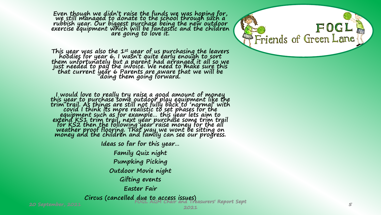**Even though we didn't raise the funds we was hoping for, we still managed to donate to the school through such a rubbish year. Our biggest purchase being the new outdoor exercise equipment which will be fantastic and the children are going to love it.** 

This year was also the  $1^{st}$  year of us purchasing the leavers<br>hoodies for year 6. I wasn't quite early enough to sort<br>them unfortunately but a parent had arranged it all so we<br>just needed to pay the invoice. We need to **that current year 6 Parents are aware that we will be doing them going forward.** 

**I would love to really try raise a good amount of money this year to purchase some outdoor play equipment like the trim trail. As things are still not fully back to 'normal' with covid I think its more realistic to set phases for the equipment such as for example… this year lets aim to extend KS1 trim trail, next year purchase some trim trail for KS2 then the following year raise money for the all weather proof flooring. That way we wont be sitting on money and the children and family can see our progress.** 

**Ideas so far for this year…**

**Family Quiz night Pumpking Picking Outdoor Movie night Gifting events Easter Fair**

**Circus (cancelled due to access issues)**

**20 September, 2021 FOGL AGM Chair and Treasurers' Report Sept** 

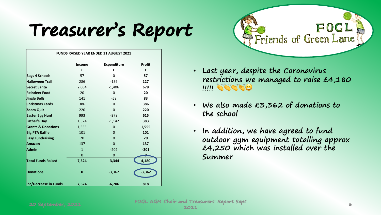## **Treasurer's Report**

| <b>FUNDS RAISED YEAR ENDED 31 AUGUST 2021</b> |              |                    |               |  |
|-----------------------------------------------|--------------|--------------------|---------------|--|
|                                               | Income       | <b>Expenditure</b> | <b>Profit</b> |  |
|                                               | £            | £                  | £             |  |
| <b>Bags 4 Schools</b>                         | 57           | 0                  | 57            |  |
| <b>Halloween Trail</b>                        | 286          | $-159$             | 127           |  |
| <b>Secret Santa</b>                           | 2,084        | $-1,406$           | 678           |  |
| <b>Reindeer Food</b>                          | 20           | 0                  | 20            |  |
| Jingle Bells                                  | 141          | $-58$              | 83            |  |
| <b>Christmas Cards</b>                        | 386          | $\Omega$           | 386           |  |
| Zoom Quiz                                     | 220          | $\Omega$           | 220           |  |
| <b>Easter Egg Hunt</b>                        | 993          | $-378$             | 615           |  |
| <b>Father's Day</b>                           | 1,524        | $-1,142$           | 383           |  |
| <b>Grants &amp; Donations</b>                 | 1,555        | 0                  | 1,555         |  |
| <b>Big PTA Raffle</b>                         | 101          | 0                  | 101           |  |
| <b>Easy Fundraising</b>                       | 20           | $\Omega$           | 20            |  |
| <b>Amazon</b>                                 | 137          | $\Omega$           | 137           |  |
| <b>Admin</b>                                  | $\mathbf{1}$ | $-202$             | $-201$        |  |
|                                               | $\mathbf 0$  | 0                  |               |  |
| <b>Total Funds Raised</b>                     | 7,524        | $-3,344$           | 4,180         |  |
| <b>Donations</b>                              | $\bf{0}$     | $-3,362$           | $-3,362$      |  |
| <b>Inc/Decrease in Funds</b>                  | 7,524        | $-6,706$           | 818           |  |



- **Last year, despite the Coronavirus restrictions we managed to raise £4,180 !!!!!**
- **We also made £3,362 of donations to the school**
- **In addition, we have agreed to fund outdoor gym equipment totalling approx £4,250 which was installed over the Summer**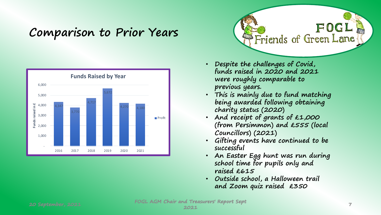### **Comparison to Prior Years**





- **Despite the challenges of Covid, funds raised in 2020 and 2021 were roughly comparable to previous years.**
- **This is mainly due to fund matching being awarded following obtaining charity status (2020)**
- **And receipt of grants of £1,000 (from Persimmon) and £555 (local Councillors) (2021)**
- **Gifting events have continued to be successful**
- **An Easter Egg hunt was run during school time for pupils only and raised £615**
- **Outside school, a Halloween trail and Zoom quiz raised £350**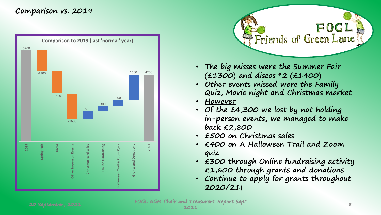#### **Comparison vs. 2019**





- **The big misses were the Summer Fair (£1300) and discos \*2 (£1400)**
- **Other events missed were the Family Quiz, Movie night and Christmas market**
- **However**
- **Of the £4,300 we lost by not holding in-person events, we managed to make back £2,800**
- **£500 on Christmas sales**
- **£400 on A Halloween Trail and Zoom quiz**
- **£300 through Online fundraising activity £1,600 through grants and donations**
- **Continue to apply for grants throughout 2020/21**)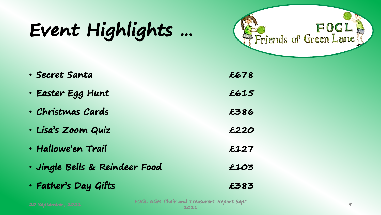## **Event Highlights …**



| • Secret Santa                 | £678 |  |
|--------------------------------|------|--|
| • Easter Egg Hunt              | £615 |  |
| • Christmas Cards              | £386 |  |
| · Lisa's Zoom Quiz             | £220 |  |
| • Hallowe'en Trail             | £127 |  |
| · Jingle Bells & Reindeer Food | £103 |  |
| · Father's Day Gifts           | £383 |  |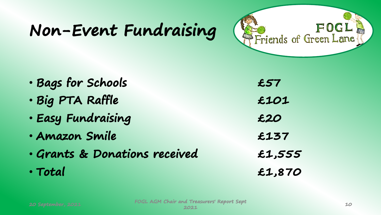## **Non-Event Fundraising**



| · Bags for Schools            | £57    |
|-------------------------------|--------|
| · Big PTA Raffle              | £101   |
| · Easy Fundraising            | £20    |
| • Amazon Smile                | £137   |
| · Grants & Donations received | £1,555 |
| · Total                       | £1,870 |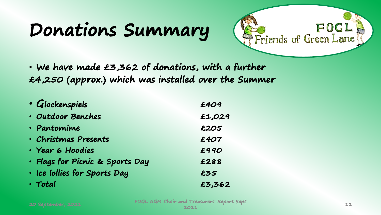## **Donations Summary**



• **We have made £3,362 of donations, with a further £4,250 (approx.) which was installed over the Summer**

| · Glockenspiels                 | £409   |
|---------------------------------|--------|
| • Outdoor Benches               | £1,029 |
| • Pantomime                     | £205   |
| · Christmas Presents            | £407   |
| · Year 6 Hoodies                | £990   |
| · Flags for Picnic & Sports Day | £288   |
| · Ice lollies for Sports Day    | £35    |
| · Total                         | £3,362 |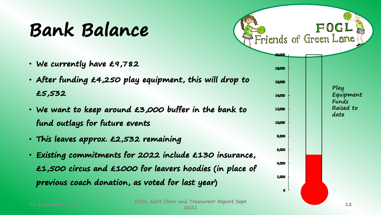## **Bank Balance**

- **We currently have £9,782**
- **After funding £4,250 play equipment, this will drop to £5,532**
- **We want to keep around £3,000 buffer in the bank to fund outlays for future events**
- **This leaves approx. £2,532 remaining**
- **Existing commitments for 2022 include £130 insurance, £1,500 circus and £1000 for leavers hoodies (in place of previous coach donation, as voted for last year)**

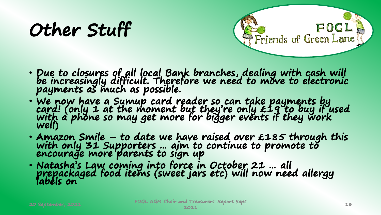## **Other Stuff**



- **Due to closures of all local Bank branches, dealing with cash will be increasingly difficult. Therefore we need to move to electronic payments as much as possible.**
- **We now have a Sumup card reader so can take payments by card! (only 1 at the moment but they're only £19 to buy if used with a phone so may get more for bigger events if they work well)**
- **Amazon Smile – to date we have raised over £185 through this with only 31 Supporters … aim to continue to promote to**  encourage more parents to sign up
- **Natasha's Law coming into force in October 21 … all prepackaged food items (sweet jars etc) will now need allergy labels on**